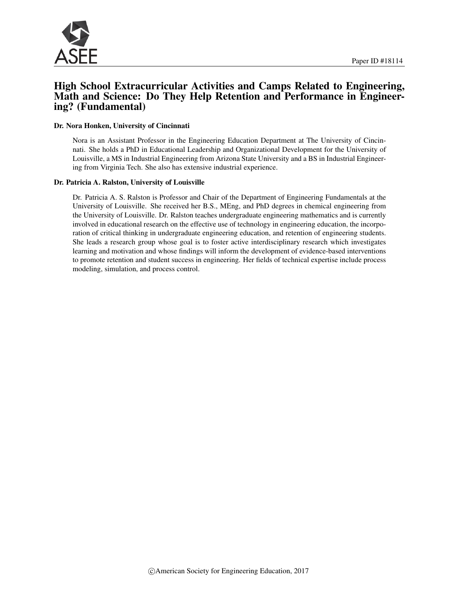

## High School Extracurricular Activities and Camps Related to Engineering, Math and Science: Do They Help Retention and Performance in Engineering? (Fundamental)

#### Dr. Nora Honken, University of Cincinnati

Nora is an Assistant Professor in the Engineering Education Department at The University of Cincinnati. She holds a PhD in Educational Leadership and Organizational Development for the University of Louisville, a MS in Industrial Engineering from Arizona State University and a BS in Industrial Engineering from Virginia Tech. She also has extensive industrial experience.

#### Dr. Patricia A. Ralston, University of Louisville

Dr. Patricia A. S. Ralston is Professor and Chair of the Department of Engineering Fundamentals at the University of Louisville. She received her B.S., MEng, and PhD degrees in chemical engineering from the University of Louisville. Dr. Ralston teaches undergraduate engineering mathematics and is currently involved in educational research on the effective use of technology in engineering education, the incorporation of critical thinking in undergraduate engineering education, and retention of engineering students. She leads a research group whose goal is to foster active interdisciplinary research which investigates learning and motivation and whose findings will inform the development of evidence-based interventions to promote retention and student success in engineering. Her fields of technical expertise include process modeling, simulation, and process control.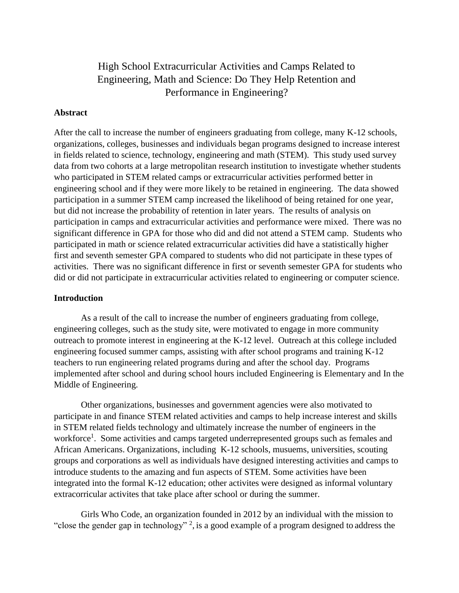# High School Extracurricular Activities and Camps Related to Engineering, Math and Science: Do They Help Retention and Performance in Engineering?

### **Abstract**

After the call to increase the number of engineers graduating from college, many K-12 schools, organizations, colleges, businesses and individuals began programs designed to increase interest in fields related to science, technology, engineering and math (STEM). This study used survey data from two cohorts at a large metropolitan research institution to investigate whether students who participated in STEM related camps or extracurricular activities performed better in engineering school and if they were more likely to be retained in engineering. The data showed participation in a summer STEM camp increased the likelihood of being retained for one year, but did not increase the probability of retention in later years. The results of analysis on participation in camps and extracurricular activities and performance were mixed. There was no significant difference in GPA for those who did and did not attend a STEM camp. Students who participated in math or science related extracurricular activities did have a statistically higher first and seventh semester GPA compared to students who did not participate in these types of activities. There was no significant difference in first or seventh semester GPA for students who did or did not participate in extracurricular activities related to engineering or computer science.

### **Introduction**

As a result of the call to increase the number of engineers graduating from college, engineering colleges, such as the study site, were motivated to engage in more community outreach to promote interest in engineering at the K-12 level. Outreach at this college included engineering focused summer camps, assisting with after school programs and training K-12 teachers to run engineering related programs during and after the school day. Programs implemented after school and during school hours included Engineering is Elementary and In the Middle of Engineering.

Other organizations, businesses and government agencies were also motivated to participate in and finance STEM related activities and camps to help increase interest and skills in STEM related fields technology and ultimately increase the number of engineers in the workforce<sup>1</sup>. Some activities and camps targeted underrepresented groups such as females and African Americans. Organizations, including K-12 schools, musuems, universities, scouting groups and corporations as well as individuals have designed interesting activities and camps to introduce students to the amazing and fun aspects of STEM. Some activities have been integrated into the formal K-12 education; other activites were designed as informal voluntary extracorricular activites that take place after school or during the summer.

Girls Who Code, an organization founded in 2012 by an individual with the mission to "close the gender gap in technology"  $2$ , is a good example of a program designed to address the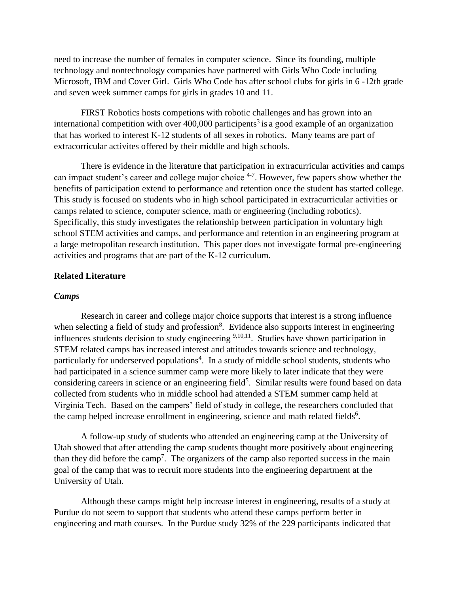need to increase the number of females in computer science. Since its founding, multiple technology and nontechnology companies have partnered with Girls Who Code including Microsoft, IBM and Cover Girl. Girls Who Code has after school clubs for girls in 6 -12th grade and seven week summer camps for girls in grades 10 and 11.

FIRST Robotics hosts competions with robotic challenges and has grown into an international competition with over 400,000 participents<sup>3</sup> is a good example of an organization that has worked to interest K-12 students of all sexes in robotics. Many teams are part of extracorricular activites offered by their middle and high schools.

There is evidence in the literature that participation in extracurricular activities and camps can impact student's career and college major choice  $4-7$ . However, few papers show whether the benefits of participation extend to performance and retention once the student has started college. This study is focused on students who in high school participated in extracurricular activities or camps related to science, computer science, math or engineering (including robotics). Specifically, this study investigates the relationship between participation in voluntary high school STEM activities and camps, and performance and retention in an engineering program at a large metropolitan research institution. This paper does not investigate formal pre-engineering activities and programs that are part of the K-12 curriculum.

### **Related Literature**

### *Camps*

Research in career and college major choice supports that interest is a strong influence when selecting a field of study and profession<sup>8</sup>. Evidence also supports interest in engineering influences students decision to study engineering  $9,10,11$ . Studies have shown participation in STEM related camps has increased interest and attitudes towards science and technology, particularly for underserved populations<sup>4</sup>. In a study of middle school students, students who had participated in a science summer camp were more likely to later indicate that they were considering careers in science or an engineering field<sup>5</sup>. Similar results were found based on data collected from students who in middle school had attended a STEM summer camp held at Virginia Tech. Based on the campers' field of study in college, the researchers concluded that the camp helped increase enrollment in engineering, science and math related fields<sup>6</sup>.

A follow-up study of students who attended an engineering camp at the University of Utah showed that after attending the camp students thought more positively about engineering than they did before the camp<sup>7</sup>. The organizers of the camp also reported success in the main goal of the camp that was to recruit more students into the engineering department at the University of Utah.

Although these camps might help increase interest in engineering, results of a study at Purdue do not seem to support that students who attend these camps perform better in engineering and math courses. In the Purdue study 32% of the 229 participants indicated that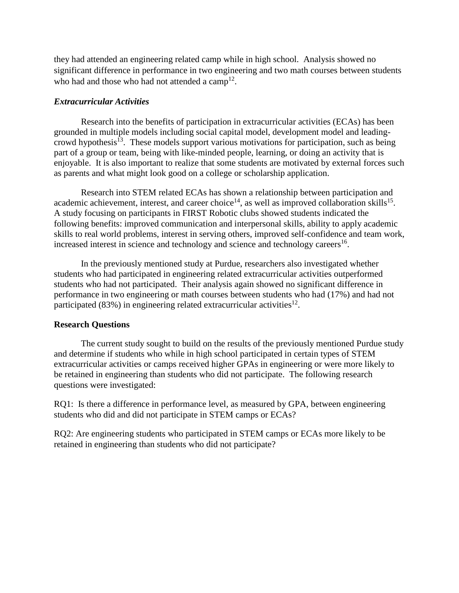they had attended an engineering related camp while in high school. Analysis showed no significant difference in performance in two engineering and two math courses between students who had and those who had not attended a  $\text{camp}^{12}$ .

### *Extracurricular Activities*

Research into the benefits of participation in extracurricular activities (ECAs) has been grounded in multiple models including social capital model, development model and leadingcrowd hypothesis<sup>13</sup>. These models support various motivations for participation, such as being part of a group or team, being with like-minded people, learning, or doing an activity that is enjoyable. It is also important to realize that some students are motivated by external forces such as parents and what might look good on a college or scholarship application.

Research into STEM related ECAs has shown a relationship between participation and academic achievement, interest, and career choice<sup>14</sup>, as well as improved collaboration skills<sup>15</sup>. A study focusing on participants in FIRST Robotic clubs showed students indicated the following benefits: improved communication and interpersonal skills, ability to apply academic skills to real world problems, interest in serving others, improved self-confidence and team work, increased interest in science and technology and science and technology careers $^{16}$ .

In the previously mentioned study at Purdue, researchers also investigated whether students who had participated in engineering related extracurricular activities outperformed students who had not participated. Their analysis again showed no significant difference in performance in two engineering or math courses between students who had (17%) and had not participated (83%) in engineering related extracurricular activities<sup>12</sup>.

### **Research Questions**

The current study sought to build on the results of the previously mentioned Purdue study and determine if students who while in high school participated in certain types of STEM extracurricular activities or camps received higher GPAs in engineering or were more likely to be retained in engineering than students who did not participate. The following research questions were investigated:

RQ1: Is there a difference in performance level, as measured by GPA, between engineering students who did and did not participate in STEM camps or ECAs?

RQ2: Are engineering students who participated in STEM camps or ECAs more likely to be retained in engineering than students who did not participate?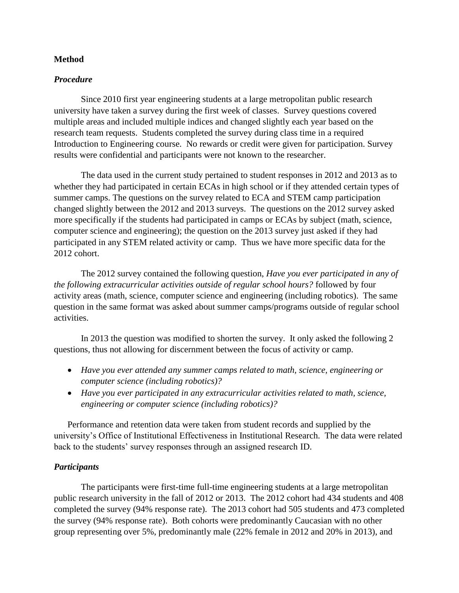### **Method**

### *Procedure*

Since 2010 first year engineering students at a large metropolitan public research university have taken a survey during the first week of classes. Survey questions covered multiple areas and included multiple indices and changed slightly each year based on the research team requests. Students completed the survey during class time in a required Introduction to Engineering course. No rewards or credit were given for participation. Survey results were confidential and participants were not known to the researcher.

The data used in the current study pertained to student responses in 2012 and 2013 as to whether they had participated in certain ECAs in high school or if they attended certain types of summer camps. The questions on the survey related to ECA and STEM camp participation changed slightly between the 2012 and 2013 surveys. The questions on the 2012 survey asked more specifically if the students had participated in camps or ECAs by subject (math, science, computer science and engineering); the question on the 2013 survey just asked if they had participated in any STEM related activity or camp. Thus we have more specific data for the 2012 cohort.

The 2012 survey contained the following question, *Have you ever participated in any of the following extracurricular activities outside of regular school hours?* followed by four activity areas (math, science, computer science and engineering (including robotics). The same question in the same format was asked about summer camps/programs outside of regular school activities.

In 2013 the question was modified to shorten the survey. It only asked the following 2 questions, thus not allowing for discernment between the focus of activity or camp.

- *Have you ever attended any summer camps related to math, science, engineering or computer science (including robotics)?*
- *Have you ever participated in any extracurricular activities related to math, science, engineering or computer science (including robotics)?*

Performance and retention data were taken from student records and supplied by the university's Office of Institutional Effectiveness in Institutional Research. The data were related back to the students' survey responses through an assigned research ID.

### *Participants*

The participants were first-time full-time engineering students at a large metropolitan public research university in the fall of 2012 or 2013. The 2012 cohort had 434 students and 408 completed the survey (94% response rate). The 2013 cohort had 505 students and 473 completed the survey (94% response rate). Both cohorts were predominantly Caucasian with no other group representing over 5%, predominantly male (22% female in 2012 and 20% in 2013), and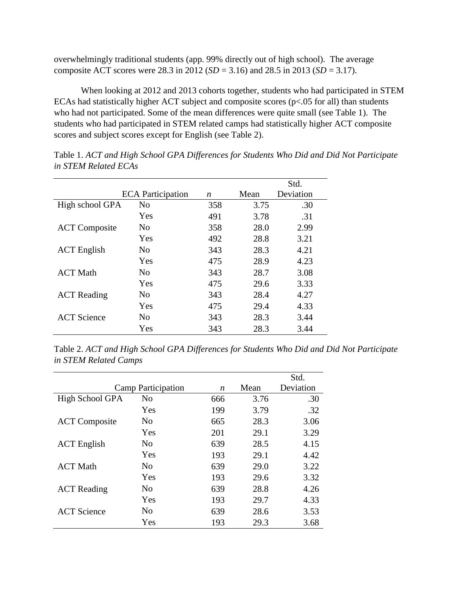overwhelmingly traditional students (app. 99% directly out of high school). The average composite ACT scores were 28.3 in 2012 (*SD* = 3.16) and 28.5 in 2013 (*SD* = 3.17).

When looking at 2012 and 2013 cohorts together, students who had participated in STEM ECAs had statistically higher ACT subject and composite scores (p<.05 for all) than students who had not participated. Some of the mean differences were quite small (see Table 1). The students who had participated in STEM related camps had statistically higher ACT composite scores and subject scores except for English (see Table 2).

|                      |                          |     |      | Std.      |
|----------------------|--------------------------|-----|------|-----------|
|                      | <b>ECA</b> Participation | n   | Mean | Deviation |
| High school GPA      | N <sub>0</sub>           | 358 | 3.75 | .30       |
|                      | Yes                      | 491 | 3.78 | .31       |
| <b>ACT</b> Composite | N <sub>0</sub>           | 358 | 28.0 | 2.99      |
|                      | Yes                      | 492 | 28.8 | 3.21      |
| <b>ACT</b> English   | N <sub>0</sub>           | 343 | 28.3 | 4.21      |
|                      | Yes                      | 475 | 28.9 | 4.23      |
| <b>ACT Math</b>      | N <sub>0</sub>           | 343 | 28.7 | 3.08      |
|                      | Yes                      | 475 | 29.6 | 3.33      |
| <b>ACT</b> Reading   | N <sub>0</sub>           | 343 | 28.4 | 4.27      |
|                      | Yes                      | 475 | 29.4 | 4.33      |
| <b>ACT</b> Science   | N <sub>0</sub>           | 343 | 28.3 | 3.44      |
|                      | Yes                      | 343 | 28.3 | 3.44      |

Table 1. *ACT and High School GPA Differences for Students Who Did and Did Not Participate in STEM Related ECAs*

Table 2. *ACT and High School GPA Differences for Students Who Did and Did Not Participate in STEM Related Camps*

|                      |                    |                  |      | Std.      |
|----------------------|--------------------|------------------|------|-----------|
|                      | Camp Participation | $\boldsymbol{n}$ | Mean | Deviation |
| High School GPA      | N <sub>0</sub>     | 666              | 3.76 | .30       |
|                      | Yes                | 199              | 3.79 | .32       |
| <b>ACT</b> Composite | No                 | 665              | 28.3 | 3.06      |
|                      | Yes                | 201              | 29.1 | 3.29      |
| <b>ACT</b> English   | N <sub>0</sub>     | 639              | 28.5 | 4.15      |
|                      | Yes                | 193              | 29.1 | 4.42      |
| <b>ACT Math</b>      | N <sub>0</sub>     | 639              | 29.0 | 3.22      |
|                      | Yes                | 193              | 29.6 | 3.32      |
| <b>ACT</b> Reading   | N <sub>0</sub>     | 639              | 28.8 | 4.26      |
|                      | Yes                | 193              | 29.7 | 4.33      |
| <b>ACT</b> Science   | N <sub>0</sub>     | 639              | 28.6 | 3.53      |
|                      | Yes                | 193              | 29.3 | 3.68      |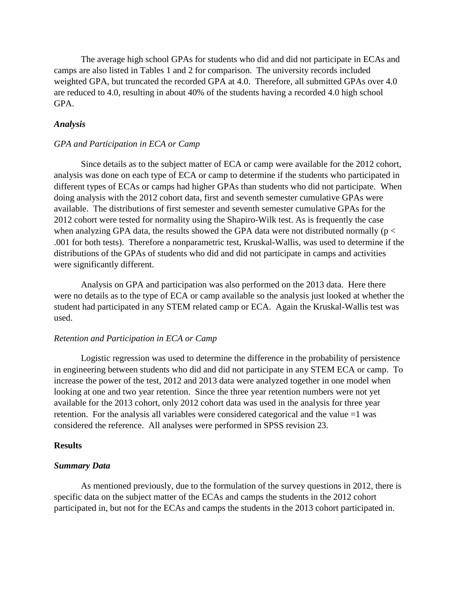The average high school GPAs for students who did and did not participate in ECAs and camps are also listed in Tables 1 and 2 for comparison. The university records included weighted GPA, but truncated the recorded GPA at 4.0. Therefore, all submitted GPAs over 4.0 are reduced to 4.0, resulting in about 40% of the students having a recorded 4.0 high school GPA.

### *Analysis*

#### *GPA and Participation in ECA or Camp*

Since details as to the subject matter of ECA or camp were available for the 2012 cohort, analysis was done on each type of ECA or camp to determine if the students who participated in different types of ECAs or camps had higher GPAs than students who did not participate. When doing analysis with the 2012 cohort data, first and seventh semester cumulative GPAs were available. The distributions of first semester and seventh semester cumulative GPAs for the 2012 cohort were tested for normality using the Shapiro-Wilk test. As is frequently the case when analyzing GPA data, the results showed the GPA data were not distributed normally ( $p <$ .001 for both tests). Therefore a nonparametric test, Kruskal-Wallis, was used to determine if the distributions of the GPAs of students who did and did not participate in camps and activities were significantly different.

Analysis on GPA and participation was also performed on the 2013 data. Here there were no details as to the type of ECA or camp available so the analysis just looked at whether the student had participated in any STEM related camp or ECA. Again the Kruskal-Wallis test was used.

### *Retention and Participation in ECA or Camp*

Logistic regression was used to determine the difference in the probability of persistence in engineering between students who did and did not participate in any STEM ECA or camp. To increase the power of the test, 2012 and 2013 data were analyzed together in one model when looking at one and two year retention. Since the three year retention numbers were not yet available for the 2013 cohort, only 2012 cohort data was used in the analysis for three year retention. For the analysis all variables were considered categorical and the value =1 was considered the reference. All analyses were performed in SPSS revision 23.

#### **Results**

### *Summary Data*

As mentioned previously, due to the formulation of the survey questions in 2012, there is specific data on the subject matter of the ECAs and camps the students in the 2012 cohort participated in, but not for the ECAs and camps the students in the 2013 cohort participated in.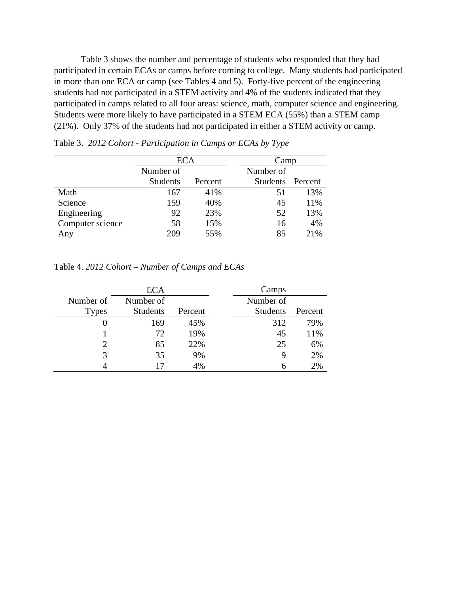Table 3 shows the number and percentage of students who responded that they had participated in certain ECAs or camps before coming to college. Many students had participated in more than one ECA or camp (see Tables 4 and 5). Forty-five percent of the engineering students had not participated in a STEM activity and 4% of the students indicated that they participated in camps related to all four areas: science, math, computer science and engineering. Students were more likely to have participated in a STEM ECA (55%) than a STEM camp (21%). Only 37% of the students had not participated in either a STEM activity or camp.

|                  | ECA             |         | Camp            |         |
|------------------|-----------------|---------|-----------------|---------|
|                  | Number of       |         |                 |         |
|                  | <b>Students</b> | Percent | <b>Students</b> | Percent |
| Math             | 167             | 41%     | 51              | 13%     |
| Science          | 159             | 40%     | 45              | 11%     |
| Engineering      | 92              | 23%     | 52              | 13%     |
| Computer science | 58              | 15%     | 16              | 4%      |
| Any              | 209             | 55%     | 85              | 21%     |

Table 3. *2012 Cohort - Participation in Camps or ECAs by Type*

Table 4. *2012 Cohort – Number of Camps and ECAs*

|              | <b>ECA</b>      |         | Camps           |         |
|--------------|-----------------|---------|-----------------|---------|
| Number of    | Number of       |         | Number of       |         |
| <b>Types</b> | <b>Students</b> | Percent | <b>Students</b> | Percent |
| 0            | 169             | 45%     | 312             | 79%     |
|              | 72.             | 19%     | 45              | 11%     |
|              | 85              | 22%     | 25              | 6%      |
|              | 35              | 9%      | y               | 2%      |
|              |                 | 4%      | h               | 2%      |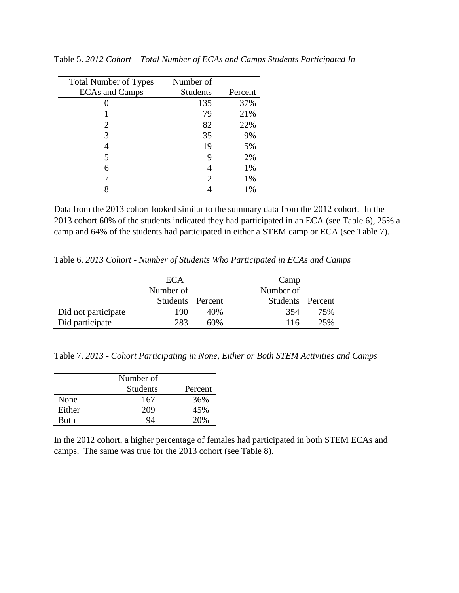| <b>Total Number of Types</b> | Number of       |         |
|------------------------------|-----------------|---------|
| <b>ECAs and Camps</b>        | <b>Students</b> | Percent |
|                              | 135             | 37%     |
|                              | 79              | 21%     |
| 2                            | 82              | 22%     |
| 3                            | 35              | 9%      |
| 4                            | 19              | 5%      |
| 5                            | 9               | 2%      |
| 6                            |                 | 1%      |
|                              | 2               | 1%      |
|                              |                 | 1%      |

Table 5. *2012 Cohort – Total Number of ECAs and Camps Students Participated In*

Data from the 2013 cohort looked similar to the summary data from the 2012 cohort. In the 2013 cohort 60% of the students indicated they had participated in an ECA (see Table 6), 25% a camp and 64% of the students had participated in either a STEM camp or ECA (see Table 7).

Table 6. *2013 Cohort - Number of Students Who Participated in ECAs and Camps*

|                     | ECA              |     | Camp             |     |
|---------------------|------------------|-----|------------------|-----|
|                     | Number of        |     | Number of        |     |
|                     | Students Percent |     | Students Percent |     |
| Did not participate | 190              | 40% | 354              | 75% |
| Did participate     | 283              | 60% | 116              | 25% |

Table 7. *2013 - Cohort Participating in None, Either or Both STEM Activities and Camps*

|        | Number of<br><b>Students</b> | Percent |
|--------|------------------------------|---------|
| None   | 167                          | 36%     |
| Either | 209                          | 45%     |
| Both   | QΔ                           | 20%     |

In the 2012 cohort, a higher percentage of females had participated in both STEM ECAs and camps. The same was true for the 2013 cohort (see Table 8).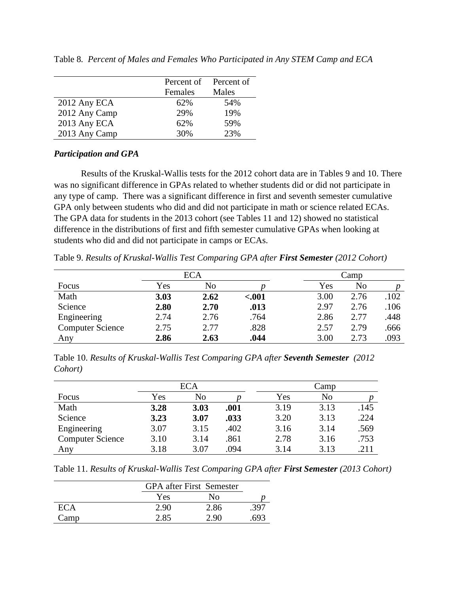|               | Percent of | Percent of |
|---------------|------------|------------|
|               | Females    | Males      |
| 2012 Any ECA  | 62%        | 54%        |
| 2012 Any Camp | 29%        | 19%        |
| 2013 Any ECA  | 62%        | 59%        |
| 2013 Any Camp | 30%        | 23%        |

Table 8*. Percent of Males and Females Who Participated in Any STEM Camp and ECA*

### *Participation and GPA*

Results of the Kruskal-Wallis tests for the 2012 cohort data are in Tables 9 and 10. There was no significant difference in GPAs related to whether students did or did not participate in any type of camp. There was a significant difference in first and seventh semester cumulative GPA only between students who did and did not participate in math or science related ECAs. The GPA data for students in the 2013 cohort (see Tables 11 and 12) showed no statistical difference in the distributions of first and fifth semester cumulative GPAs when looking at students who did and did not participate in camps or ECAs.

Table 9. *Results of Kruskal-Wallis Test Comparing GPA after First Semester (2012 Cohort)*

| <b>ECA</b>              |      |      |         | Camp |      |      |
|-------------------------|------|------|---------|------|------|------|
| Focus                   | Yes  | No   |         | Yes  | No   |      |
| Math                    | 3.03 | 2.62 | $-.001$ | 3.00 | 2.76 | .102 |
| Science                 | 2.80 | 2.70 | .013    | 2.97 | 2.76 | .106 |
| Engineering             | 2.74 | 2.76 | .764    | 2.86 | 2.77 | .448 |
| <b>Computer Science</b> | 2.75 | 2.77 | .828    | 2.57 | 2.79 | .666 |
| Any                     | 2.86 | 2.63 | .044    | 3.00 | 2.73 | .093 |

Table 10. *Results of Kruskal-Wallis Test Comparing GPA after Seventh Semester (2012 Cohort)*

|                         | <b>ECA</b> |      |      | Camp |      |      |
|-------------------------|------------|------|------|------|------|------|
| Focus                   | Yes        | No   |      | Yes  | No   |      |
| Math                    | 3.28       | 3.03 | .001 | 3.19 | 3.13 | .145 |
| Science                 | 3.23       | 3.07 | .033 | 3.20 | 3.13 | .224 |
| Engineering             | 3.07       | 3.15 | .402 | 3.16 | 3.14 | .569 |
| <b>Computer Science</b> | 3.10       | 3.14 | .861 | 2.78 | 3.16 | .753 |
| Any                     | 3.18       | 3.07 | .094 | 3.14 | 3.13 | .211 |

Table 11. *Results of Kruskal-Wallis Test Comparing GPA after First Semester (2013 Cohort)*

|            |      | <b>GPA</b> after First Semester |      |  |
|------------|------|---------------------------------|------|--|
|            | Yes  | Nο                              |      |  |
| <b>ECA</b> | 2.90 | 2.86                            | .397 |  |
| Camp       | 2.85 | 2.90                            | 693  |  |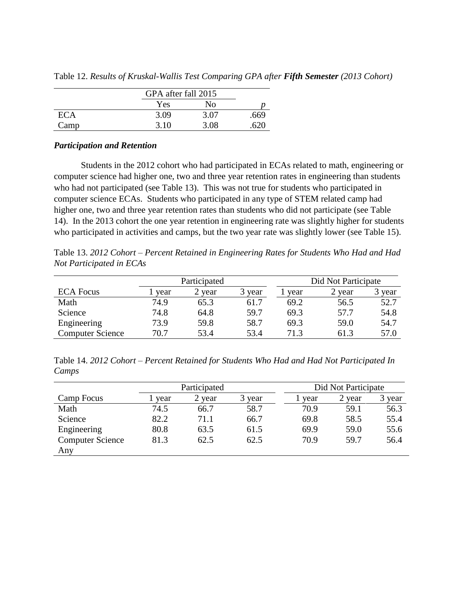|            |      | GPA after fall 2015 |      |  |
|------------|------|---------------------|------|--|
|            | Yes  | No                  |      |  |
| <b>ECA</b> | 3.09 | 3.07                | .669 |  |
| Camp       | 3.10 | 3.08                | 620  |  |

Table 12. *Results of Kruskal-Wallis Test Comparing GPA after Fifth Semester (2013 Cohort)*

### *Participation and Retention*

Students in the 2012 cohort who had participated in ECAs related to math, engineering or computer science had higher one, two and three year retention rates in engineering than students who had not participated (see Table 13). This was not true for students who participated in computer science ECAs. Students who participated in any type of STEM related camp had higher one, two and three year retention rates than students who did not participate (see Table 14). In the 2013 cohort the one year retention in engineering rate was slightly higher for students who participated in activities and camps, but the two year rate was slightly lower (see Table 15).

Table 13. *2012 Cohort – Percent Retained in Engineering Rates for Students Who Had and Had Not Participated in ECAs*

|                         |      | Participated |        |      | Did Not Participate |        |
|-------------------------|------|--------------|--------|------|---------------------|--------|
| <b>ECA Focus</b>        | year | 2 year       | 3 year | year | year                | 3 year |
| Math                    | 74.9 | 65.3         | 61.7   | 69.2 | 56.5                | 52.7   |
| Science                 | 74.8 | 64.8         | 59.7   | 69.3 | 57.7                | 54.8   |
| Engineering             | 73.9 | 59.8         | 58.7   | 69.3 | 59.0                | 54.7   |
| <b>Computer Science</b> | 70.7 | 53.4         | 53.4   | 71.3 | 61.3                | 57.0   |

Table 14. *2012 Cohort – Percent Retained for Students Who Had and Had Not Participated In Camps*

|                         |      | Participated |        |      | Did Not Participate |        |
|-------------------------|------|--------------|--------|------|---------------------|--------|
| Camp Focus              | vear | 2 year       | 3 year | year | year                | 3 year |
| Math                    | 74.5 | 66.7         | 58.7   | 70.9 | 59.1                | 56.3   |
| Science                 | 82.2 | 71.1         | 66.7   | 69.8 | 58.5                | 55.4   |
| Engineering             | 80.8 | 63.5         | 61.5   | 69.9 | 59.0                | 55.6   |
| <b>Computer Science</b> | 81.3 | 62.5         | 62.5   | 70.9 | 59.7                | 56.4   |
| Any                     |      |              |        |      |                     |        |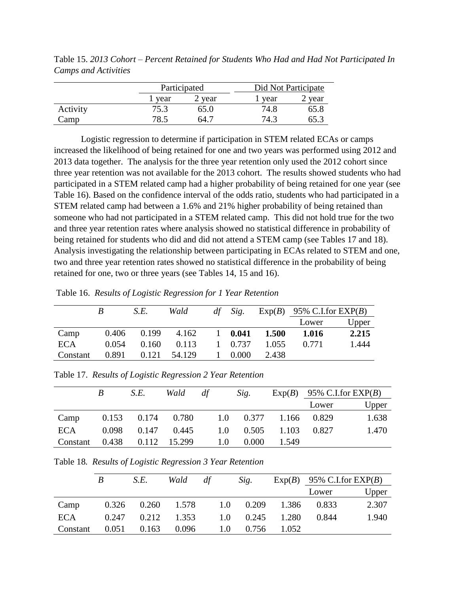Table 15. *2013 Cohort – Percent Retained for Students Who Had and Had Not Participated In Camps and Activities*

|          |        | Participated |        | Did Not Participate |  |  |
|----------|--------|--------------|--------|---------------------|--|--|
|          | l year | 2 year       | 1 year | 2 year              |  |  |
| Activity | 75.3   | 65.0         | 74.8   | 65.8                |  |  |
| Camp     | 78.5   | -64.7        | 74.3   | 65.3                |  |  |

Logistic regression to determine if participation in STEM related ECAs or camps increased the likelihood of being retained for one and two years was performed using 2012 and 2013 data together. The analysis for the three year retention only used the 2012 cohort since three year retention was not available for the 2013 cohort. The results showed students who had participated in a STEM related camp had a higher probability of being retained for one year (see Table 16). Based on the confidence interval of the odds ratio, students who had participated in a STEM related camp had between a 1.6% and 21% higher probability of being retained than someone who had not participated in a STEM related camp. This did not hold true for the two and three year retention rates where analysis showed no statistical difference in probability of being retained for students who did and did not attend a STEM camp (see Tables 17 and 18). Analysis investigating the relationship between participating in ECAs related to STEM and one, two and three year retention rates showed no statistical difference in the probability of being retained for one, two or three years (see Tables 14, 15 and 16).

Table 16. *Results of Logistic Regression for 1 Year Retention*

|            |       | S.E.  | Wald   | df | Sig.            |       | $Exp(B)$ 95% C.I.for $EXP(B)$ |       |
|------------|-------|-------|--------|----|-----------------|-------|-------------------------------|-------|
|            |       |       |        |    |                 |       | Lower                         | Upper |
| Camp       | 0.406 | 0.199 | 4.162  |    | $1 \quad 0.041$ | 1.500 | 1.016                         | 2.215 |
| <b>ECA</b> | 0.054 | 0.160 | 0.113  |    | 1 0.737         | 1.055 | 0.771                         | 1.444 |
| Constant   | 0.891 | 0.121 | 54.129 |    | 0.000           | 2.438 |                               |       |

Table 17. *Results of Logistic Regression 2 Year Retention*

|            | B | S.E.                    | Wald | df |     | Sig.                            |                       | $Exp(B)$ 95% C.I.for $EXP(B)$ |       |
|------------|---|-------------------------|------|----|-----|---------------------------------|-----------------------|-------------------------------|-------|
|            |   |                         |      |    |     |                                 |                       | Lower                         | Upper |
| Camp       |   | $0.153$ $0.174$ $0.780$ |      |    |     |                                 | 1.0 0.377 1.166 0.829 |                               | 1.638 |
| <b>ECA</b> |   | $0.098$ $0.147$ $0.445$ |      |    |     | $1.0 \qquad 0.505 \qquad 1.103$ |                       | 0.827                         | 1.470 |
| Constant   |   | 0.438  0.112  15.299    |      |    | 1.0 | 0.000                           | 1.549                 |                               |       |

Table 18*. Results of Logistic Regression 3 Year Retention*

|            | B     | S.E.                    | Wald  | df |     | Sig.                            |             | $Exp(B)$ 95% C.I.for $EXP(B)$ |       |
|------------|-------|-------------------------|-------|----|-----|---------------------------------|-------------|-------------------------------|-------|
|            |       |                         |       |    |     |                                 |             | Lower                         | Upper |
| Camp       |       | $0.326$ $0.260$ $1.578$ |       |    |     | 1.0 0.209 1.386 0.833           |             |                               | 2.307 |
| <b>ECA</b> |       | $0.247$ $0.212$ $1.353$ |       |    |     | $1.0 \qquad 0.245 \qquad 1.280$ |             | 0.844                         | 1.940 |
| Constant   | 0.051 | 0.163                   | 0.096 |    | 1.0 |                                 | 0.756 1.052 |                               |       |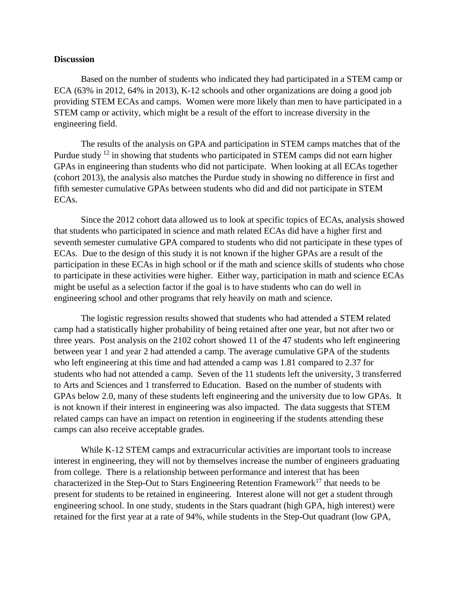### **Discussion**

Based on the number of students who indicated they had participated in a STEM camp or ECA (63% in 2012, 64% in 2013), K-12 schools and other organizations are doing a good job providing STEM ECAs and camps. Women were more likely than men to have participated in a STEM camp or activity, which might be a result of the effort to increase diversity in the engineering field.

The results of the analysis on GPA and participation in STEM camps matches that of the Purdue study <sup>12</sup> in showing that students who participated in STEM camps did not earn higher GPAs in engineering than students who did not participate. When looking at all ECAs together (cohort 2013), the analysis also matches the Purdue study in showing no difference in first and fifth semester cumulative GPAs between students who did and did not participate in STEM ECAs.

Since the 2012 cohort data allowed us to look at specific topics of ECAs, analysis showed that students who participated in science and math related ECAs did have a higher first and seventh semester cumulative GPA compared to students who did not participate in these types of ECAs. Due to the design of this study it is not known if the higher GPAs are a result of the participation in these ECAs in high school or if the math and science skills of students who chose to participate in these activities were higher. Either way, participation in math and science ECAs might be useful as a selection factor if the goal is to have students who can do well in engineering school and other programs that rely heavily on math and science.

The logistic regression results showed that students who had attended a STEM related camp had a statistically higher probability of being retained after one year, but not after two or three years. Post analysis on the 2102 cohort showed 11 of the 47 students who left engineering between year 1 and year 2 had attended a camp. The average cumulative GPA of the students who left engineering at this time and had attended a camp was 1.81 compared to 2.37 for students who had not attended a camp. Seven of the 11 students left the university, 3 transferred to Arts and Sciences and 1 transferred to Education. Based on the number of students with GPAs below 2.0, many of these students left engineering and the university due to low GPAs. It is not known if their interest in engineering was also impacted. The data suggests that STEM related camps can have an impact on retention in engineering if the students attending these camps can also receive acceptable grades.

While K-12 STEM camps and extracurricular activities are important tools to increase interest in engineering, they will not by themselves increase the number of engineers graduating from college. There is a relationship between performance and interest that has been characterized in the Step-Out to Stars Engineering Retention Framework<sup>17</sup> that needs to be present for students to be retained in engineering. Interest alone will not get a student through engineering school. In one study, students in the Stars quadrant (high GPA, high interest) were retained for the first year at a rate of 94%, while students in the Step-Out quadrant (low GPA,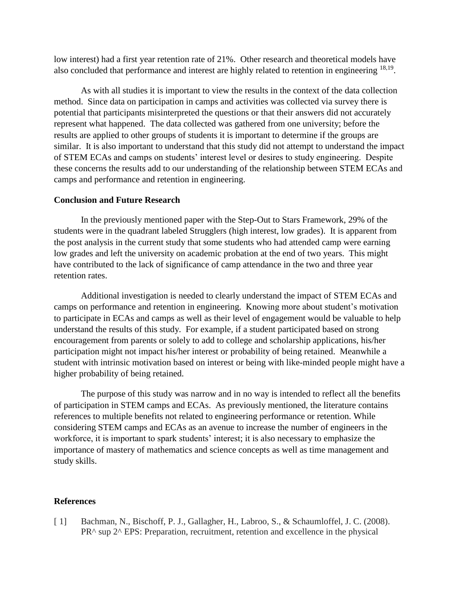low interest) had a first year retention rate of 21%. Other research and theoretical models have also concluded that performance and interest are highly related to retention in engineering  $18,19$ .

As with all studies it is important to view the results in the context of the data collection method. Since data on participation in camps and activities was collected via survey there is potential that participants misinterpreted the questions or that their answers did not accurately represent what happened. The data collected was gathered from one university; before the results are applied to other groups of students it is important to determine if the groups are similar. It is also important to understand that this study did not attempt to understand the impact of STEM ECAs and camps on students' interest level or desires to study engineering. Despite these concerns the results add to our understanding of the relationship between STEM ECAs and camps and performance and retention in engineering.

#### **Conclusion and Future Research**

In the previously mentioned paper with the Step-Out to Stars Framework, 29% of the students were in the quadrant labeled Strugglers (high interest, low grades). It is apparent from the post analysis in the current study that some students who had attended camp were earning low grades and left the university on academic probation at the end of two years. This might have contributed to the lack of significance of camp attendance in the two and three year retention rates.

Additional investigation is needed to clearly understand the impact of STEM ECAs and camps on performance and retention in engineering. Knowing more about student's motivation to participate in ECAs and camps as well as their level of engagement would be valuable to help understand the results of this study. For example, if a student participated based on strong encouragement from parents or solely to add to college and scholarship applications, his/her participation might not impact his/her interest or probability of being retained. Meanwhile a student with intrinsic motivation based on interest or being with like-minded people might have a higher probability of being retained.

The purpose of this study was narrow and in no way is intended to reflect all the benefits of participation in STEM camps and ECAs. As previously mentioned, the literature contains references to multiple benefits not related to engineering performance or retention. While considering STEM camps and ECAs as an avenue to increase the number of engineers in the workforce, it is important to spark students' interest; it is also necessary to emphasize the importance of mastery of mathematics and science concepts as well as time management and study skills.

#### **References**

[ 1] Bachman, N., Bischoff, P. J., Gallagher, H., Labroo, S., & Schaumloffel, J. C. (2008). PR^ sup 2^ EPS: Preparation, recruitment, retention and excellence in the physical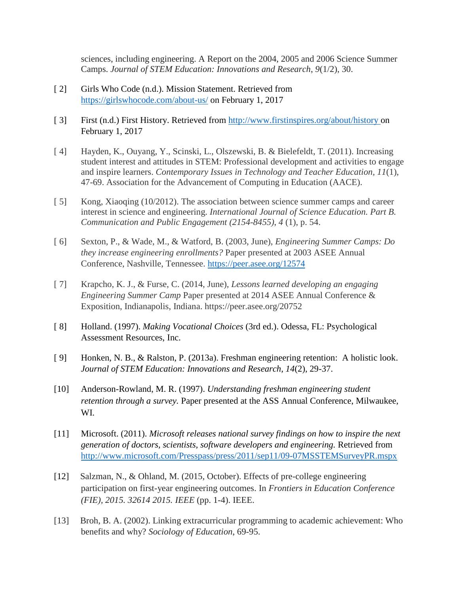sciences, including engineering. A Report on the 2004, 2005 and 2006 Science Summer Camps. *Journal of STEM Education: Innovations and Research*, *9*(1/2), 30.

- [2] Girls Who Code (n.d.). Mission Statement. Retrieved from <https://girlswhocode.com/about-us/> on February 1, 2017
- [ 3] First (n.d.) First History. Retrieved from [http://www.firstinspires.org/about/history o](http://www.firstinspires.org/about/history)n February 1, 2017
- [ 4] Hayden, K., Ouyang, Y., Scinski, L., Olszewski, B. & Bielefeldt, T. (2011). Increasing student interest and attitudes in STEM: Professional development and activities to engage and inspire learners. *Contemporary Issues in Technology and Teacher Education, 11*(1), 47-69. Association for the Advancement of Computing in Education (AACE).
- [5] Kong, Xiaoqing (10/2012). The association between science summer camps and career interest in science and engineering. *International Journal of Science Education. Part B. Communication and Public Engagement (2154-8455)*, *4* (1), p. 54.
- [ 6] Sexton, P., & Wade, M., & Watford, B. (2003, June), *Engineering Summer Camps: Do they increase engineering enrollments?* Paper presented at 2003 ASEE Annual Conference, Nashville, Tennessee.<https://peer.asee.org/12574>
- [ 7] Krapcho, K. J., & Furse, C. (2014, June), *Lessons learned developing an engaging Engineering Summer Camp* Paper presented at 2014 ASEE Annual Conference & Exposition, Indianapolis, Indiana. https://peer.asee.org/20752
- [ 8] Holland. (1997). *Making Vocational Choices* (3rd ed.). Odessa, FL: Psychological Assessment Resources, Inc.
- [ 9] Honken, N. B., & Ralston, P. (2013a). Freshman engineering retention: A holistic look. *Journal of STEM Education: Innovations and Research, 14*(2), 29-37.
- [10] Anderson-Rowland, M. R. (1997). *Understanding freshman engineering student retention through a survey.* Paper presented at the ASS Annual Conference, Milwaukee, WI.
- [11] Microsoft. (2011). *Microsoft releases national survey findings on how to inspire the next generation of doctors, scientists, software developers and engineering.* Retrieved from <http://www.microsoft.com/Presspass/press/2011/sep11/09-07MSSTEMSurveyPR.mspx>
- [12] Salzman, N., & Ohland, M. (2015, October). Effects of pre-college engineering participation on first-year engineering outcomes. In *Frontiers in Education Conference (FIE), 2015. 32614 2015. IEEE* (pp. 1-4). IEEE.
- [13] Broh, B. A. (2002). Linking extracurricular programming to academic achievement: Who benefits and why? *Sociology of Education*, 69-95.